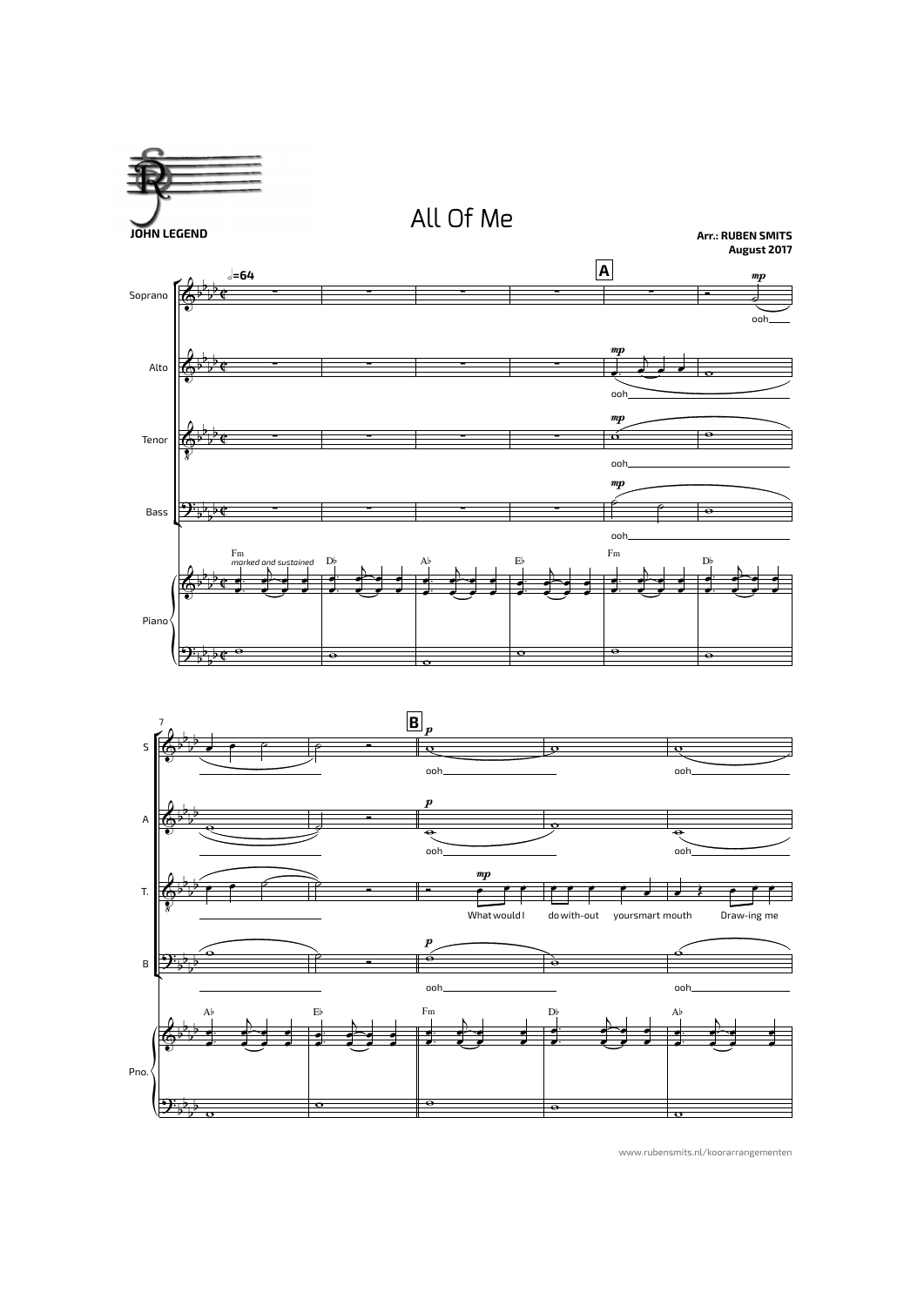**JOHN LEGEND**







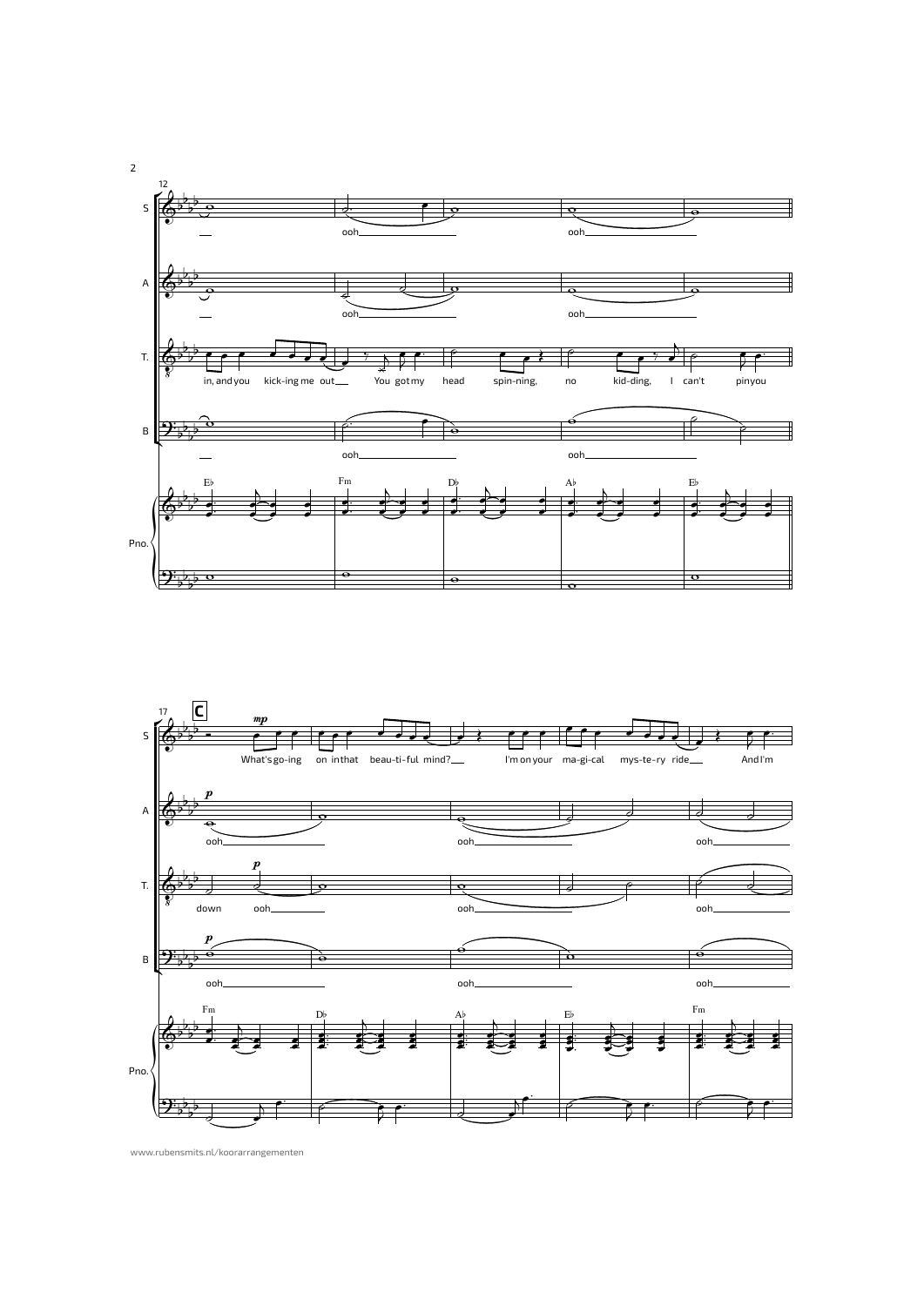

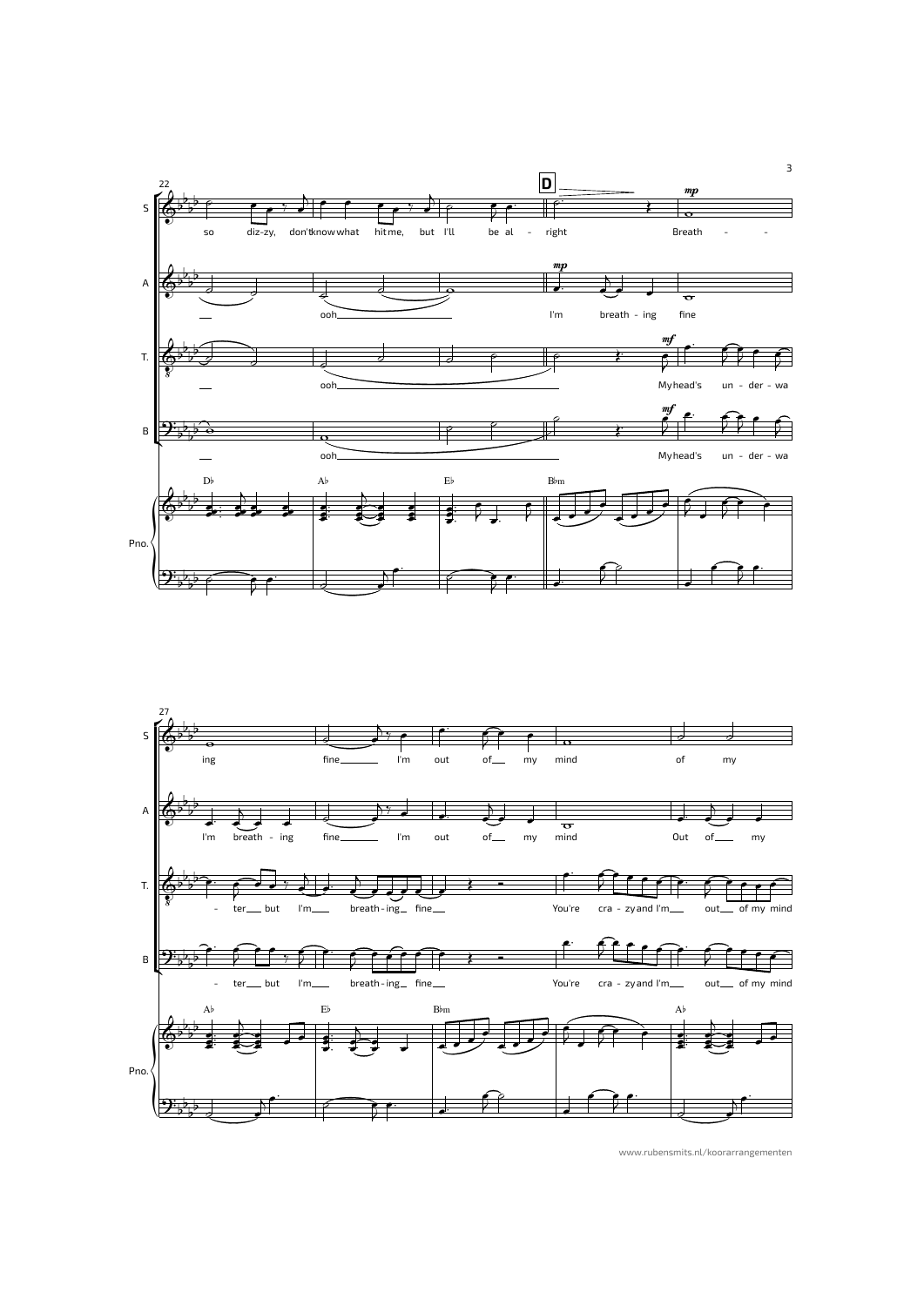